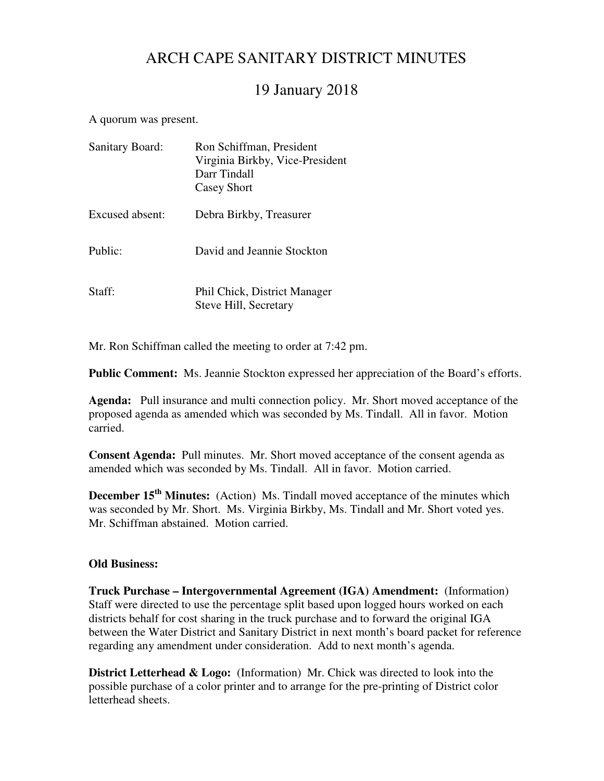# ARCH CAPE SANITARY DISTRICT MINUTES

## 19 January 2018

A quorum was present.

| <b>Sanitary Board:</b> | Ron Schiffman, President<br>Virginia Birkby, Vice-President<br>Darr Tindall<br><b>Casey Short</b> |
|------------------------|---------------------------------------------------------------------------------------------------|
| Excused absent:        | Debra Birkby, Treasurer                                                                           |
| Public:                | David and Jeannie Stockton                                                                        |
| Staff:                 | Phil Chick, District Manager<br>Steve Hill, Secretary                                             |

Mr. Ron Schiffman called the meeting to order at 7:42 pm.

**Public Comment:** Ms. Jeannie Stockton expressed her appreciation of the Board's efforts.

**Agenda:** Pull insurance and multi connection policy. Mr. Short moved acceptance of the proposed agenda as amended which was seconded by Ms. Tindall. All in favor. Motion carried.

**Consent Agenda:** Pull minutes. Mr. Short moved acceptance of the consent agenda as amended which was seconded by Ms. Tindall. All in favor. Motion carried.

**December 15<sup>th</sup> Minutes:** (Action) Ms. Tindall moved acceptance of the minutes which was seconded by Mr. Short. Ms. Virginia Birkby, Ms. Tindall and Mr. Short voted yes. Mr. Schiffman abstained. Motion carried.

### **Old Business:**

**Truck Purchase – Intergovernmental Agreement (IGA) Amendment:** (Information) Staff were directed to use the percentage split based upon logged hours worked on each districts behalf for cost sharing in the truck purchase and to forward the original IGA between the Water District and Sanitary District in next month's board packet for reference regarding any amendment under consideration. Add to next month's agenda.

**District Letterhead & Logo:** (Information) Mr. Chick was directed to look into the possible purchase of a color printer and to arrange for the pre-printing of District color letterhead sheets.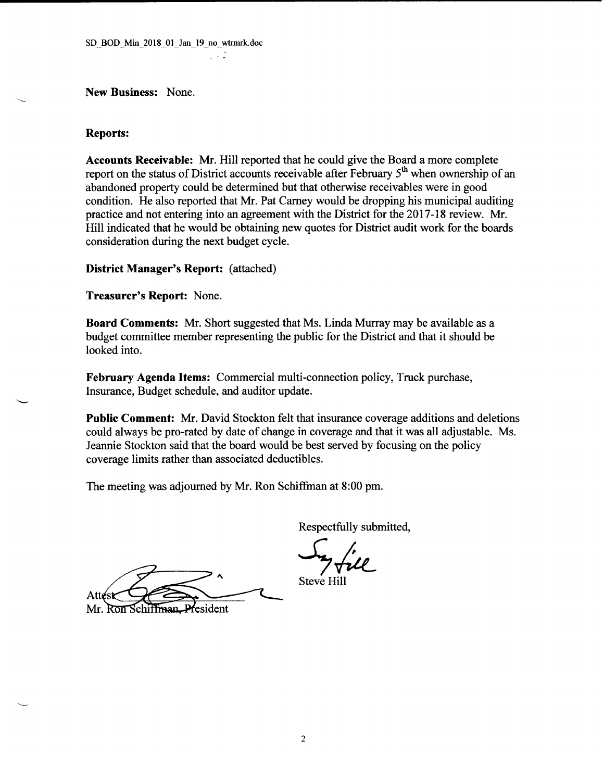New Business: None.

#### **Reports:**

Accounts Receivable: Mr. Hill reported that he could give the Board a more complete report on the status of District accounts receivable after February 5<sup>th</sup> when ownership of an abandoned property could be determined but that otherwise receivables were in good condition. He also reported that Mr. Pat Carney would be dropping his municipal auditing practice and not entering into an agreement with the District for the 2017-18 review. Mr. Hill indicated that he would be obtaining new quotes for District audit work for the boards consideration during the next budget cycle.

**District Manager's Report:** (attached)

Treasurer's Report: None.

**Board Comments:** Mr. Short suggested that Ms. Linda Murray may be available as a budget committee member representing the public for the District and that it should be looked into.

February Agenda Items: Commercial multi-connection policy, Truck purchase, Insurance, Budget schedule, and auditor update.

**Public Comment:** Mr. David Stockton felt that insurance coverage additions and deletions could always be pro-rated by date of change in coverage and that it was all adjustable. Ms. Jeannie Stockton said that the board would be best served by focusing on the policy coverage limits rather than associated deductibles.

The meeting was adjourned by Mr. Ron Schiffman at 8:00 pm.

Attési

President Mr. Ron Schiffman.

Respectfully submitted,

**Steve Hill**